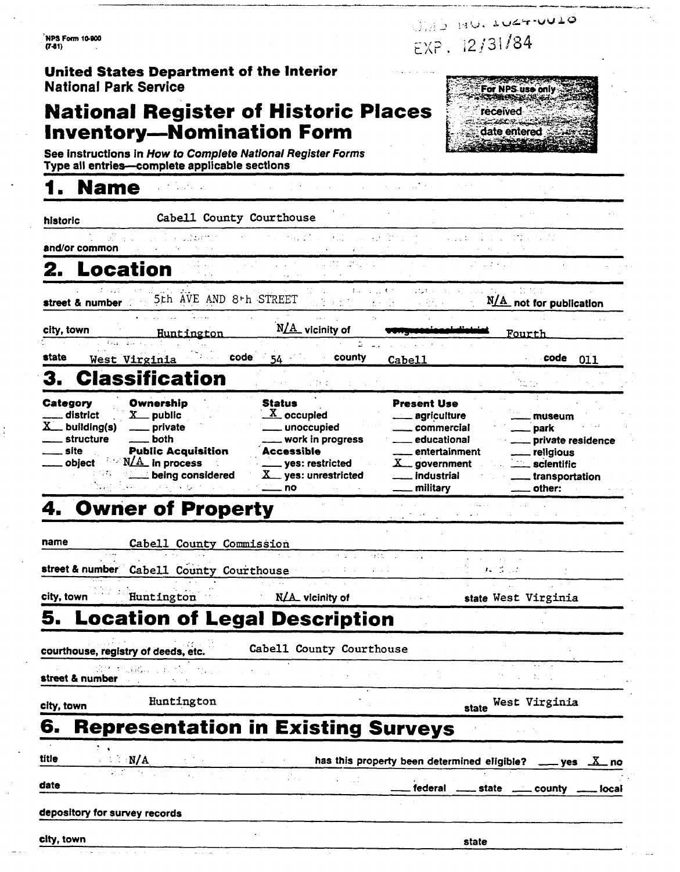NPS Form 10-900  $(7-81)$ 

WAS MU. LUZT-UULO  $EXP. 12/31/84$ 

> For NPS use only **STARBOOK** received <u>تائيلا جون جي تائيل</u> date entered

### **United States Department of the Interior National Park Sewice**

### **National Register of Historic Places Inventory-Nomination Form**

See instructions in How to Complete National Register Forms Type all entries-complete applicable sections

### - **1. Name** .

historic **Cabell County Courthouse** 

 $.3\,\mu$ rti and/or common

# **2. Location** .

< . . street & number 5~h AYEMID 8th SREET . **N&** not tor Dublicatlan

alia 1.

**r, and the Market AMS DVM . And the Community of the Community of the Community of the Community of the Community** 

ta

city, town **Huntington N/A** vicinity of **CONGITY CONSTRAINER THE ROUTER** 

state West Virginia **Code 54 County Cabell Cabell code** 011

### **3. Classification** - --

**Category Ownership ... Status Present Use ... Category ... Ownership ... Status Present Use ... agriculture ...** 3. Classification<br>
Category Ownership Status<br>
Category Ownership Status<br>
Missical Category Ownership Status<br>
Missical Present Use<br>
Missical Present Use<br>
A public Moccupied — agriculture — museum<br>
A building(s) — private — **3. Classification**<br>
Category Ownership Status Present Use<br>
district X public X occupied - agriculture - museum<br>
A building(s) - private - unoccupied - commercial - park<br>
structure - both - work in progress - educational -Category Ownership Status Present Use<br>
- district X public X occupied - agriculture - museum<br>
- both - work in progress - educational - private residence<br>
- site Public Acquisition Accessible - entertainment - religious Category Ownership Status Present Use<br>
Accessible - site public - site public - private - both<br>
Accessible - entertainment - religious<br>
Accessible - entertainment - religious<br>
- site Public Acquisition Accessible - enterta district  $X$  public  $X$  occupied agriculture museum<br>
structure both structure both work in progress ducational park<br>
site **Public Acquisition** Accessible<br>
object  $N/A$  in process being considered  $X$  government being consid Figure 2014<br>  $\begin{array}{r|l}\n\hline\n\text{c}}\n\text{c}}\n\hline\n\text{c}}\n\text{c}}\n\hline\n\text{c}}\n\text{d}}\n\hline\n\text{d}}\n\hline\n\text{d}}\n\hline\n\text{d}}\n\hline\n\text{d}}\n\hline\n\text{d}}\n\hline\n\text{d}}\n\hline\n\text{d}}\n\hline\n\text{d}}\n\hline\n\text{d}}\n\hline\n\text{d}}\n\hline\n\text{d}}\n\hline\n\text{d}}\n\hline\n\text{d}}\n\$ 

# **4. Owner of Property**

name **Cabell County Commission** 

**street & number Cabell County Courthouse** *I- <b>I- I- I- I- I- I- I-*

city, town **Huntington** N& vicinity of state **West Virginia** 

# **5. Location of Legal Description**

courthouse, registry of deeds, etc. **Cabell County Courthouse** 

>. , street & number

**City, town Huntington Example 3 Huntington City**, town **State West Virginia** 

# **6. Representation in Existing Surveys**

|       |     |  | ol tichtaaling in pyldinin am alas s                                           |                                              |  |
|-------|-----|--|--------------------------------------------------------------------------------|----------------------------------------------|--|
| litie | N/A |  | has this property been determined eligible? $\frac{X}{1}$ pes $\frac{X}{1}$ no |                                              |  |
| date  |     |  |                                                                                | federal _____ state _____ county _____ local |  |
|       |     |  |                                                                                |                                              |  |

#### depository for survey records

city, town state state is a state of the contract of the contract of the contract of the contract of the contract of the contract of the contract of the contract of the contract of the contract of the contract of the contr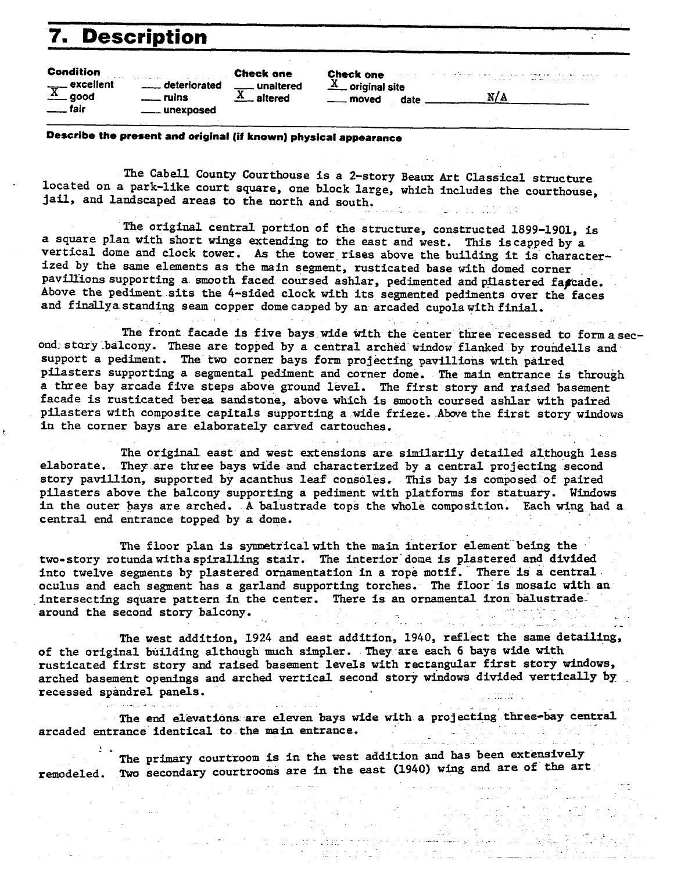# **7. Descrintion**

| <b>Description</b>                                        |                                    |                                               |                                                              |      |                                                                                                                                                                                                                                       |  |
|-----------------------------------------------------------|------------------------------------|-----------------------------------------------|--------------------------------------------------------------|------|---------------------------------------------------------------------------------------------------------------------------------------------------------------------------------------------------------------------------------------|--|
| <b>Condition</b><br>$\overline{X}$ excellent<br>$\_$ fair | deteriorated<br>ruins<br>unexposed | <b>Check one</b><br>unaltered<br>altered<br>A | <b>Check one</b><br>$\underline{X}$ original site<br>_ moved | date | the contract of the second contract of the second company of the contract of the second contract of the contract of the contract of the contract of the contract of the contract of the contract of the contract of the contra<br>N/A |  |

**Describe the present and original (it known) physical appearance** 

The Cabell County Courthouse is a 2-story **Beaux** Art Classical structure located on a park-like court square, one block large, which includes the courthouse, jail, and landscaped areas to the north and south. ا - المالية<br>العالمية

The original central portion of **the** structure, constructed 1899-1901, is a square plan with short wings extending to the east and west. This iscagped by a vertical dome and clock tower. **As** the tower rises above the building it is'characterized by the same elements as the main segment, rusticated base with domed corner pavillions supporting a smooth faced coursed ashlar, pedimented and pilastered fagcade. Above the pediment. sits the 4-sided clock with its segmented pediments over the faces and finallya standing seam copper dome capped by an arcaded cupola with finial.

The front facade is five bays wide with the center three recessed to formasecond story balcony. These are topped by a central arched window flanked by roundells and support a pediment. The two corner bays form projecting pavillions with paired pilasters supporting a segmental pediment and corner dome. The main entrance is through a three bay arcade five steps above ground level. The first story and raised basement facade is rusticated berea sandstone, above which is smooth coursed ashlar with paired pilasters with composite capitals supporting a wide frieze. Abovethe first story windows in the corner bays are elaborately carved cartouches. ".

The original east and west extensions are similarily detailed although less elaborate. They are three bays wide and characterized by a central projecting second story pavillion, supported by acanthus leaf consales, This bay is composed of paired pilasters above the balcony supporting a pediment with platforms for statuary. Windows in the outer bays are arched. A balustrade tops the whole composition, Each **wing had** a central end entrance topped by a dome.

The floor plan is symmetrical with the main interior element being the two-story rotunda witha spiralling stair. The interior dome is plastered and divided into twelve segments **by** plastered ornamentation in a rope motif. There is a central oculus and each segment has a garland supporting torches. The floor is mosaic with an intersecting square pattern in the center. There is an ornamental iron balustradearound the second story balcony.

The west addition, 1924 and east addition, 1940, reflect the same detailing, of the original building although much simpler. They **are** each 6 bays wide with rusticated first story and raised basement levels with rectangular first story windows, arched basement openings and arched vertical second story windows divided vertically by recessed spandrel panels.

The end elevations are eleven bays wide with a projecting three-bay central arcaded entrance identical to the main entrance.<br>
The antes countroon is in the west

The primary courtroom is in the west addition **and** has been extensively remodeled. **Two** secondary courtrooms are in the east (1940) wing and are of the art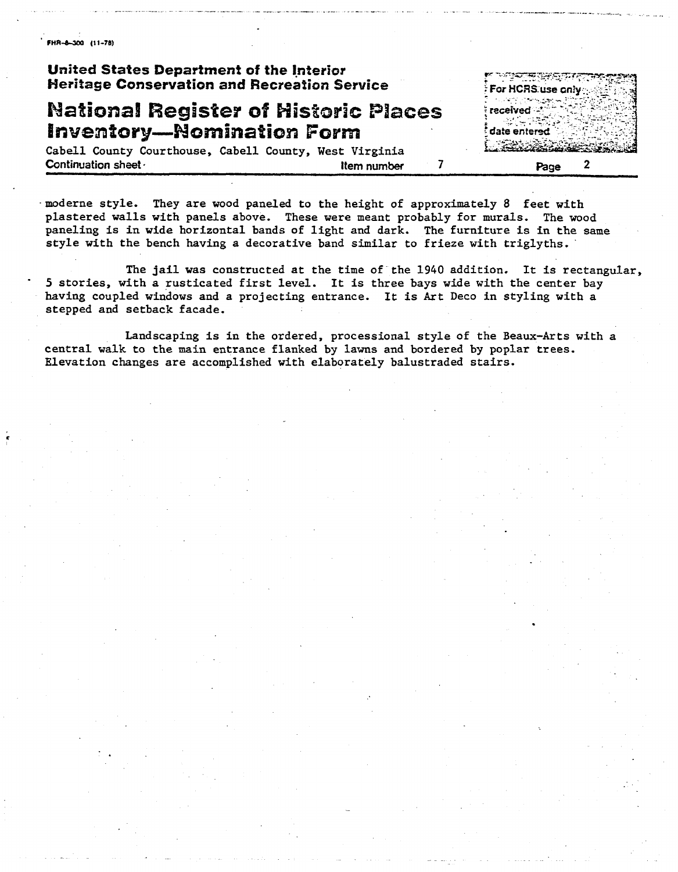FHR-8-300 (11-78)

#### **United States Department of the Ipterior, Heritage Conservation and Recreation Serwics**

# **National Register of Historic Places Inventory-Nomination Form**

<u>ীমার উপমূল্য দ্</u> For HCRS use only date entered

Cabell County Courthouse, Cabell County, West Virginia **Continuation sheet and the continuation sheet of the continuation sheet of the continuation sheet of the continuation of the continuation of the continuation of the continuation of the continuation of the continuation of** 

.moderne style. They are wood paneled to the height of approximately 8 feet with plastered walls with panels above. These were meant probably for murals. The wood paneling is in wide horizontal bands of light and dark. The furniture is in **the** same style with the bench having a decorative band similar to frieze with triglyths.

The jail was constructed at the time of the 1940 addition. It is rectangular, 5 stories, with a rusticated first level. It is three bays wide with the center bay having coupled windows and a projecting entrance. It is Art Deco in styling with a stepped and setback facade.

Landscaping is in the ordered, processional style of the Beaux-Arts with a central walk to the main entrance flanked by lawns and bordered by poplar trees. Elevation changes are accomplished with elaborately balustraded stairs.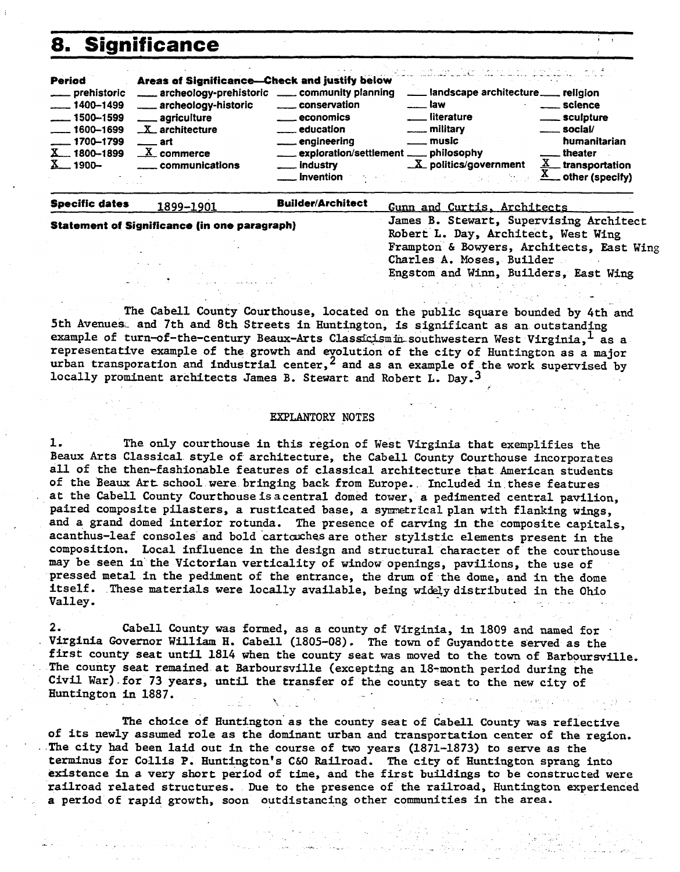### **Significance**

| Period                            | Areas of Significance-Check and justify below   |                                         | المواصل المستوقي والمتحل والمتحال والمتحال والمتحرم والمتحرم والمحرور والمعارض |                     |
|-----------------------------------|-------------------------------------------------|-----------------------------------------|--------------------------------------------------------------------------------|---------------------|
| ____ prehistoric                  | archeology-prehistoric _____ community planning |                                         |                                                                                |                     |
| $-1400 - 1499$                    | ____ archeology-historic                        | <u>__</u> __ conservation               | … law                                                                          | ____ science        |
| $\frac{1}{2}$ 1500-1599           | ____ agriculture                                | <u>_____</u> economics                  | literature                                                                     | ____ sculpture      |
| $\frac{1600 - 1699}{1600 - 1699}$ | $X$ architecture                                |                                         | <u>_</u> ___ military                                                          | $\equiv$ social/    |
| $\frac{1}{2}$ 1700–1799           | —— art                                          | engineering                             | __ music                                                                       | humanitarian        |
| $X = 1800 - 1899$                 | $\underline{X}$ commerce                        | exploration/settlement _____ philosophy |                                                                                | theater.            |
| $X = 1900 -$                      | <u>__</u> communications                        | $\_$ industry                           | $X$ politics/government                                                        | $X_$ transportation |
|                                   |                                                 | __ invention                            |                                                                                | _ other (specify)   |

**Specific dates** 1899-1901

Statement of Significance (in one paragraph)

**Builder/Architect** 

Gunn and Curtis, Architects James B. Stewart, Supervising Architect Robert L. Day, Architect, West Wing Frampton & Bowyers, Architects, East Wing Charles A. Moses, Builder Engstom and Winn, Builders, East Wing

The Cabell County Courthouse, located on the public square bounded by 4th and 5th Avenues. and 7th and 8th Streets in Huntington, is significant as an outstanding example of turn-of-the-century Beaux-Arts Classicismin southwestern West Virginia, as a representative example of the growth and evolution of the city of Huntington as a major

urban transporation and industrial center,  $^2$  and as an example of the work supervised by locally prominent architects James B. Stewart and Robert L. Day.<sup>3</sup>

#### **EXPLANTORY NOTES**

1. The only courthouse in this region of West Virginia that exemplifies the Beaux Arts Classical style of architecture, the Cabell County Courthouse incorporates all of the then-fashionable features of classical architecture that American students of the Beaux Art school were bringing back from Europe. Included in these features at the Cabell County Courthouse is a central domed tower, a pedimented central pavilion. paired composite pilasters, a rusticated base, a symmetrical plan with flanking wings. and a grand domed interior rotunda. The presence of carving in the composite capitals, acanthus-leaf consoles and bold cartoches are other stylistic elements present in the composition. Local influence in the design and structural character of the courthouse may be seen in the Victorian verticality of window openings, pavilions, the use of pressed metal in the pediment of the entrance, the drum of the dome, and in the dome itself. These materials were locally available, being widely distributed in the Ohio Valley.

Cabell County was formed, as a county of Virginia, in 1809 and named for Virginia Governor William H. Cabell (1805-08). The town of Guyandotte served as the first county seat until 1814 when the county seat was moved to the town of Barboursville. The county seat remained at Barboursville (excepting an 18-month period during the Civil War) for 73 years, until the transfer of the county seat to the new city of Huntington in 1887.

The choice of Huntington as the county seat of Cabell County was reflective of its newly assumed role as the dominant urban and transportation center of the region. The city had been laid out in the course of two years (1871-1873) to serve as the terminus for Collis P. Huntington's C&O Railroad. The city of Huntington sprang into existence in a very short period of time, and the first buildings to be constructed were railroad related structures. Due to the presence of the railroad, Huntington experienced a period of rapid growth, soon outdistancing other communities in the area.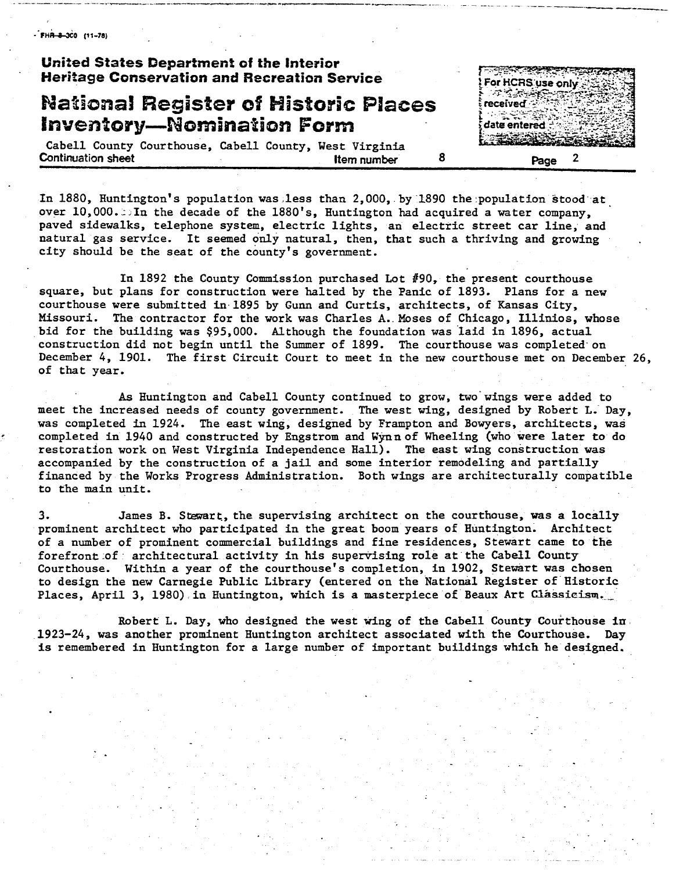$-FHA-3CO$  (11-78)

#### **United States Department of the Interior Heritage Conservation and Recreation Service**

### **NaBioaa! Register of Historic Places Inventory-Nomination Form**

**محمد معانيات المستورة** For HCRS use only ಾ ಸಂಪಾದ received :: date entered

Cabell County Courthouse, Cabell County, West Virginia **Continuation sheet alternation sheet** *Page* **2 Page 2 Page 2** 

In 1880, Huntington's population was,less than 2,000, by 1890 the:population stood at over 10,000. DIn the decade of the 1880's, Huntington had acquired a water company, paved sidewalks, telephone system, electric lights, an electric street car line, and natural gas service. It seemed only natural, then, that such a thriving and growing city should be the seat of the county's government.

In 1892 the County Commission purchased Lot  $#90$ , the present courthouse square, but plans for construction were halted by the Panic of 1893. Plans for a new courthouse were submitted in 1895 by Gunn and Curtis, architects, of Kansas City, Missouri. The contractor for the work was Charles **A..** Moses of Chicago, Illinios, whose bid for the building was \$95,000. Although the foundation was laid in 1896, actual construction did not begin until the Summer of 1899. The courthouse was completed-on December 4, 1901. The first Circuit Court to meet in the new courthouse met on December 26, of that year.

As Huntington and Cabell County continued to grow, two' wings were added to meet the increased needs of county government. The west wing, designed by Robert **L.** Day, was completed in 1924. The east wing, designed by Frampton and Bowyers, architects, was completed in 1940 and constructed by Engstrom and Wynn of Wheeling (who were later to do restoration work on West Virginia Independence Hall). The east wing construction was accompanied by the construction of a jail and some interior remodeling and partially financed by the Works Progress Administration. Both wings are architecturally compatible to the main unit.

**3.** James B. Stewart, the supervising architect on the courthouse, was a locally prominent architect who participated in the great boom years of Huntington. Architect of a number of prominent commercial buildings and fine residences, Stewart came to the forefront of architectural activity in his supervising role at the Cabell County Courthouse. Within a year of the courthouse's completion, in 1902, Stewart was chosen to design the new Carnegie Public Library (entered on the National Register of Historic Places, April 3, 1980) in Huntington, which is a masterpiece of Beaux Art Classicism.

Robert L. Day, who designed the west wing of the Cabell County Courthouse in 1923-24, was another prominent Huntington architect associated with the Courthouse. **Day**  is remembered in Huntington for a large number of important buildings which he designed.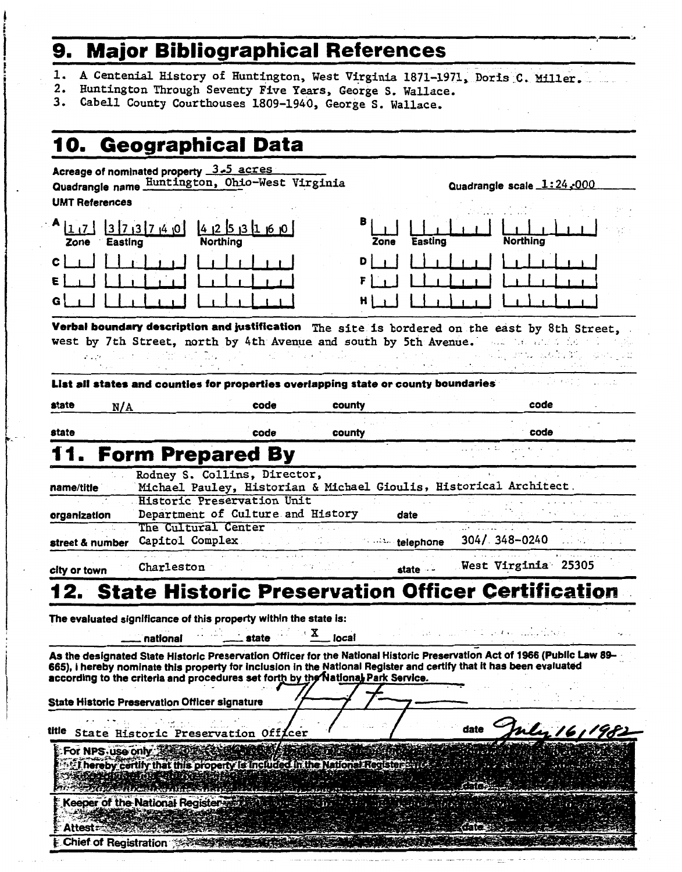# **9. Major Bibliographical References**

1. A Centenial History of Huntington, West Virginia 1871-1971, Doris C. Miller.

,>

- 2. Huntington Through Seventy Five Years, George S. Wallace.
- **3.** Cabell County Courthouses 1809-1940, George S. Wallace.

|                           | 10. Geographical Data                                                                                                                                                                                                                                                                                                                                                                |        |      |                          |                           |              |
|---------------------------|--------------------------------------------------------------------------------------------------------------------------------------------------------------------------------------------------------------------------------------------------------------------------------------------------------------------------------------------------------------------------------------|--------|------|--------------------------|---------------------------|--------------|
| <b>UMT References</b>     | Acreage of nominated property 3.5 acres<br>Quadrangle name Huntington, Ohio-West Virginia                                                                                                                                                                                                                                                                                            |        |      |                          | Quadrangle scale 1:24,000 |              |
| 1 17  <br>Easting<br>Zone | $3\overline{7}$ $3\overline{7}$ $\overline{4}$ $\overline{0}$<br>$4$ 12 5 13 1 16 10<br><b>Northing</b>                                                                                                                                                                                                                                                                              |        | Zone | <b>Easting</b>           | Northing                  |              |
| c l<br>E                  |                                                                                                                                                                                                                                                                                                                                                                                      |        | D    |                          |                           |              |
| G                         |                                                                                                                                                                                                                                                                                                                                                                                      |        |      |                          |                           |              |
|                           | Verbal boundary description and justification The site is bordered on the east by 8th Street,<br>west by 7th Street, north by 4th Avenue and south by 5th Avenue. The and side<br>List all states and counties for properties overlapping state or county boundaries                                                                                                                 |        |      |                          |                           |              |
| state<br>N/A              | code                                                                                                                                                                                                                                                                                                                                                                                 | county |      |                          | code                      |              |
| state                     | code                                                                                                                                                                                                                                                                                                                                                                                 | county |      |                          | code                      |              |
|                           | <b>Form Prepared By</b>                                                                                                                                                                                                                                                                                                                                                              |        |      |                          |                           |              |
| street & number           | The Cultural Center<br>Capitol Complex                                                                                                                                                                                                                                                                                                                                               |        |      | <b>Contain telephone</b> | 304/ 348-0240             |              |
| city or town              | Charleston                                                                                                                                                                                                                                                                                                                                                                           |        |      | state - -                | West Virginia 25305       |              |
|                           | 2. State Historic Preservation Officer Certification<br>The evaluated significance of this property within the state is:<br>state<br>national                                                                                                                                                                                                                                        | local  |      |                          |                           |              |
|                           | As the designated State Historic Preservation Officer for the National Historic Preservation Act of 1966 (Public Law 89-<br>665), I hereby nominate this property for inclusion in the National Register and certify that it has been evaluated<br>according to the criteria and procedures set forth by the National Park Service.<br>State Historic Preservation Officer signature |        |      |                          |                           |              |
| title                     | State Historic Preservation Officer                                                                                                                                                                                                                                                                                                                                                  |        |      | date                     |                           | mly 16, 1981 |
| For NPS use only:         | I hereby certify that this property is included in the National Registers and                                                                                                                                                                                                                                                                                                        |        |      |                          |                           |              |
|                           |                                                                                                                                                                                                                                                                                                                                                                                      |        |      |                          |                           |              |
| <b>Attest</b>             | <b>SALE AREA NOTES TO BE STARTED</b><br>Keeper of the National Register                                                                                                                                                                                                                                                                                                              | مطت    |      |                          |                           |              |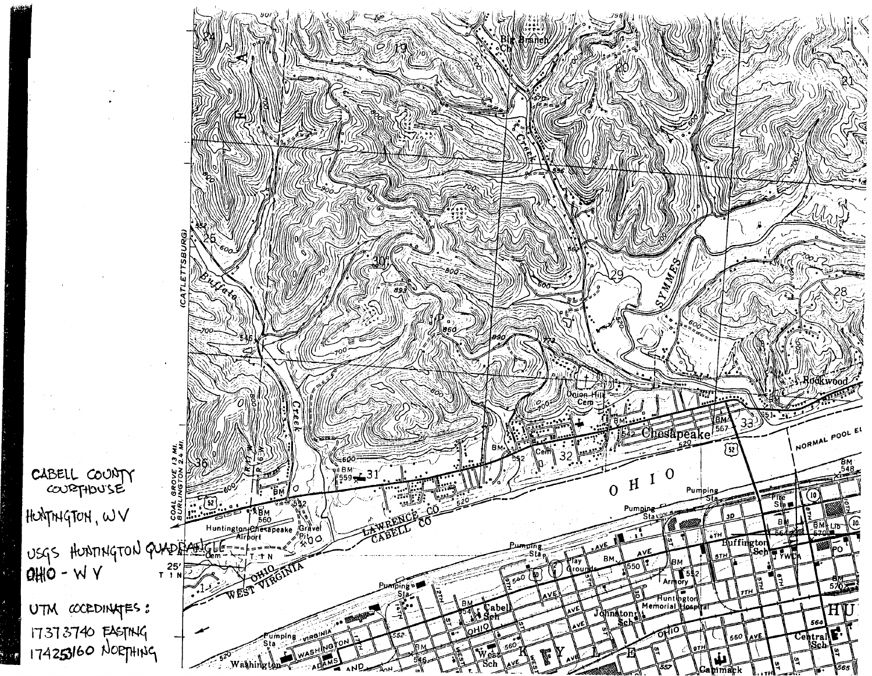